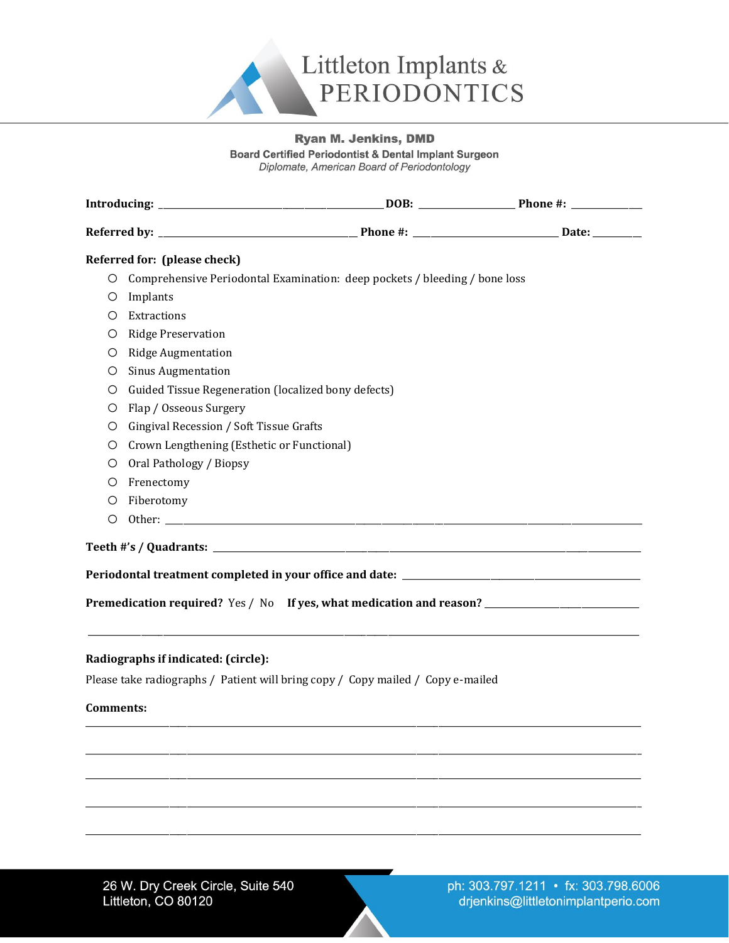

## **Ryan M. Jenkins, DMD**

**Board Certified Periodontist & Dental Implant Surgeon** 

Diplomate, American Board of Periodontology

|                                                                                                     | Referred for: (please check)                                               |  |
|-----------------------------------------------------------------------------------------------------|----------------------------------------------------------------------------|--|
| O                                                                                                   | Comprehensive Periodontal Examination: deep pockets / bleeding / bone loss |  |
| O                                                                                                   | Implants                                                                   |  |
| O                                                                                                   | Extractions                                                                |  |
| О                                                                                                   | Ridge Preservation                                                         |  |
| O                                                                                                   | <b>Ridge Augmentation</b>                                                  |  |
| O                                                                                                   | <b>Sinus Augmentation</b>                                                  |  |
| O                                                                                                   | Guided Tissue Regeneration (localized bony defects)                        |  |
| O                                                                                                   | Flap / Osseous Surgery                                                     |  |
| O                                                                                                   | Gingival Recession / Soft Tissue Grafts                                    |  |
| O                                                                                                   | Crown Lengthening (Esthetic or Functional)                                 |  |
| O                                                                                                   | Oral Pathology / Biopsy                                                    |  |
| O                                                                                                   | Frenectomy                                                                 |  |
| O                                                                                                   | Fiberotomy                                                                 |  |
| O                                                                                                   |                                                                            |  |
|                                                                                                     |                                                                            |  |
|                                                                                                     |                                                                            |  |
|                                                                                                     |                                                                            |  |
| Premedication required? Yes / No If yes, what medication and reason? ______________________________ |                                                                            |  |
|                                                                                                     |                                                                            |  |
| Radiographs if indicated: (circle):                                                                 |                                                                            |  |
| Please take radiographs / Patient will bring copy / Copy mailed / Copy e-mailed                     |                                                                            |  |
|                                                                                                     |                                                                            |  |
| <b>Comments:</b>                                                                                    |                                                                            |  |
|                                                                                                     |                                                                            |  |
|                                                                                                     |                                                                            |  |
|                                                                                                     |                                                                            |  |